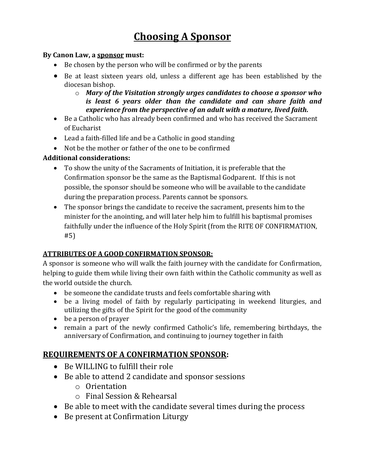# **Choosing A Sponsor**

#### **By Canon Law, a sponsor must:**

- Be chosen by the person who will be confirmed or by the parents
- Be at least sixteen years old, unless a different age has been established by the diocesan bishop.
	- o *Mary of the Visitation strongly urges candidates to choose a sponsor who is least 6 years older than the candidate and can share faith and experience from the perspective of an adult with a mature, lived faith.*
- Be a Catholic who has already been confirmed and who has received the Sacrament of Eucharist
- Lead a faith-filled life and be a Catholic in good standing
- Not be the mother or father of the one to be confirmed

#### **Additional considerations:**

- To show the unity of the Sacraments of Initiation, it is preferable that the Confirmation sponsor be the same as the Baptismal Godparent. If this is not possible, the sponsor should be someone who will be available to the candidate during the preparation process. Parents cannot be sponsors.
- The sponsor brings the candidate to receive the sacrament, presents him to the minister for the anointing, and will later help him to fulfill his baptismal promises faithfully under the influence of the Holy Spirit (from the RITE OF CONFIRMATION, #5)

#### **ATTRIBUTES OF A GOOD CONFIRMATION SPONSOR:**

A sponsor is someone who will walk the faith journey with the candidate for Confirmation, helping to guide them while living their own faith within the Catholic community as well as the world outside the church.

- be someone the candidate trusts and feels comfortable sharing with
- be a living model of faith by regularly participating in weekend liturgies, and utilizing the gifts of the Spirit for the good of the community
- be a person of prayer
- remain a part of the newly confirmed Catholic's life, remembering birthdays, the anniversary of Confirmation, and continuing to journey together in faith

## **REQUIREMENTS OF A CONFIRMATION SPONSOR:**

- Be WILLING to fulfill their role
- Be able to attend 2 candidate and sponsor sessions
	- o Orientation
	- o Final Session & Rehearsal
- Be able to meet with the candidate several times during the process
- Be present at Confirmation Liturgy